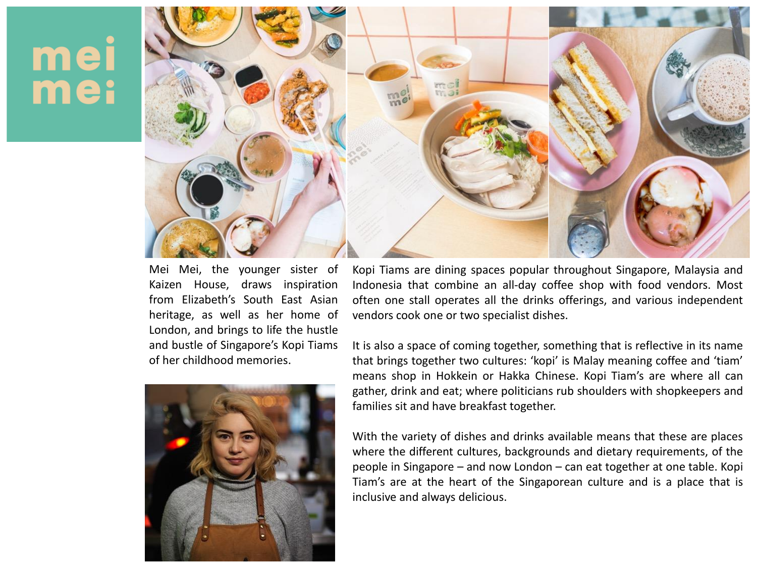## mei mei



Mei Mei, the younger sister of Kaizen House, draws inspiration from Elizabeth's South East Asian heritage, as well as her home of London, and brings to life the hustle and bustle of Singapore's Kopi Tiams of her childhood memories.



Kopi Tiams are dining spaces popular throughout Singapore, Malaysia and Indonesia that combine an all-day coffee shop with food vendors. Most often one stall operates all the drinks offerings, and various independent vendors cook one or two specialist dishes.

It is also a space of coming together, something that is reflective in its name that brings together two cultures: 'kopi' is Malay meaning coffee and 'tiam' means shop in Hokkein or Hakka Chinese. Kopi Tiam's are where all can gather, drink and eat; where politicians rub shoulders with shopkeepers and families sit and have breakfast together.

With the variety of dishes and drinks available means that these are places where the different cultures, backgrounds and dietary requirements, of the people in Singapore – and now London – can eat together at one table. Kopi Tiam's are at the heart of the Singaporean culture and is a place that is inclusive and always delicious.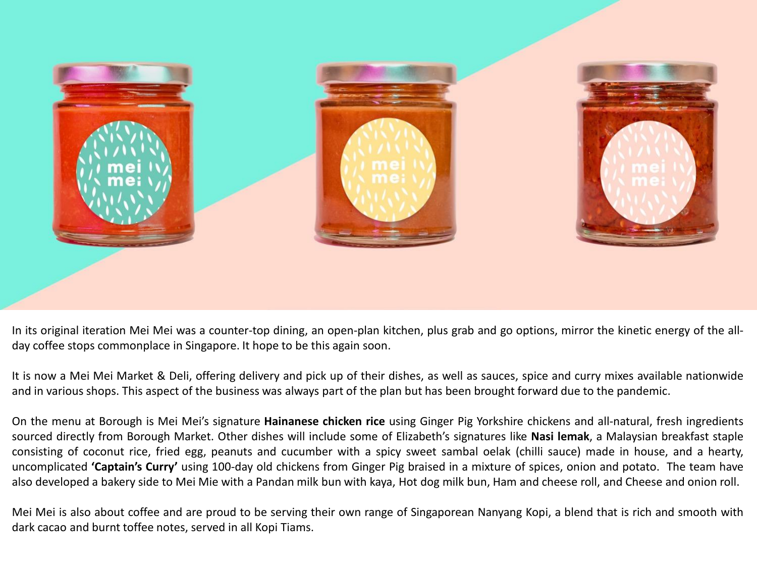

In its original iteration Mei Mei was a counter-top dining, an open-plan kitchen, plus grab and go options, mirror the kinetic energy of the allday coffee stops commonplace in Singapore. It hope to be this again soon.

It is now a Mei Mei Market & Deli, offering delivery and pick up of their dishes, as well as sauces, spice and curry mixes available nationwide and in various shops. This aspect of the business was always part of the plan but has been brought forward due to the pandemic.

On the menu at Borough is Mei Mei's signature **Hainanese chicken rice** using Ginger Pig Yorkshire chickens and all-natural, fresh ingredients sourced directly from Borough Market. Other dishes will include some of Elizabeth's signatures like **Nasi lemak**, a Malaysian breakfast staple consisting of coconut rice, fried egg, peanuts and cucumber with a spicy sweet sambal oelak (chilli sauce) made in house, and a hearty, uncomplicated **'Captain's Curry'** using 100-day old chickens from Ginger Pig braised in a mixture of spices, onion and potato. The team have also developed a bakery side to Mei Mie with a Pandan milk bun with kaya, Hot dog milk bun, Ham and cheese roll, and Cheese and onion roll.

Mei Mei is also about coffee and are proud to be serving their own range of Singaporean Nanyang Kopi, a blend that is rich and smooth with dark cacao and burnt toffee notes, served in all Kopi Tiams.